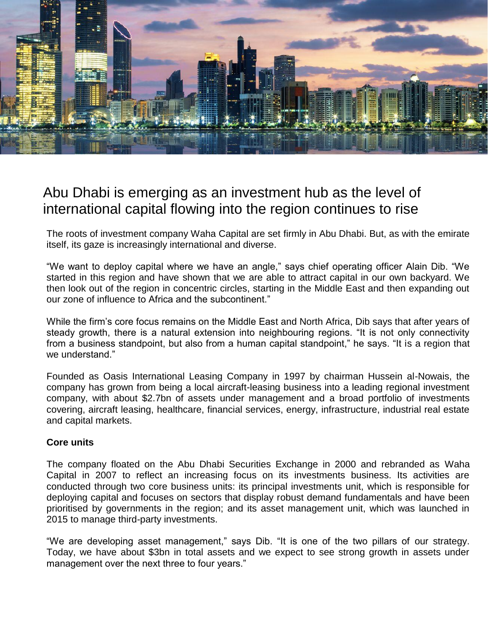

## Abu Dhabi is emerging as an investment hub as the level of international capital flowing into the region continues to rise

The roots of investment company Waha Capital are set firmly in Abu Dhabi. But, as with the emirate itself, its gaze is increasingly international and diverse.

"We want to deploy capital where we have an angle," says chief operating officer Alain Dib. "We started in this region and have shown that we are able to attract capital in our own backyard. We then look out of the region in concentric circles, starting in the Middle East and then expanding out our zone of influence to Africa and the subcontinent."

While the firm's core focus remains on the Middle East and North Africa, Dib says that after years of steady growth, there is a natural extension into neighbouring regions. "It is not only connectivity from a business standpoint, but also from a human capital standpoint," he says. "It is a region that we understand."

Founded as Oasis International Leasing Company in 1997 by chairman Hussein al-Nowais, the company has grown from being a local aircraft-leasing business into a leading regional investment company, with about \$2.7bn of assets under management and a broad portfolio of investments covering, aircraft leasing, healthcare, financial services, energy, infrastructure, industrial real estate and capital markets.

## **Core units**

The company floated on the Abu Dhabi Securities Exchange in 2000 and rebranded as Waha Capital in 2007 to reflect an increasing focus on its investments business. Its activities are conducted through two core business units: its principal investments unit, which is responsible for deploying capital and focuses on sectors that display robust demand fundamentals and have been prioritised by governments in the region; and its asset management unit, which was launched in 2015 to manage third-party investments.

"We are developing asset management," says Dib. "It is one of the two pillars of our strategy. Today, we have about \$3bn in total assets and we expect to see strong growth in assets under management over the next three to four years."